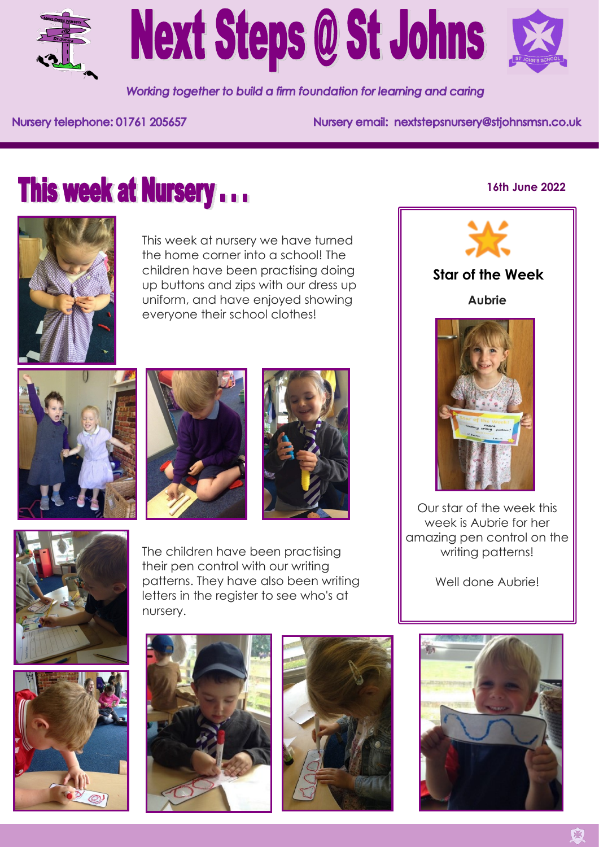

# **Next Steps @ St Johns**



Working together to build a firm foundation for learning and caring

Nursery telephone: 01761 205657

Nursery email: nextstepsnursery@stjohnsmsn.co.uk

## **This week at Nursery...**



This week at nursery we have turned the home corner into a school! The children have been practising doing up buttons and zips with our dress up uniform, and have enjoyed showing everyone their school clothes!









The children have been practising their pen control with our writing patterns. They have also been writing letters in the register to see who's at nursery.











Our star of the week this week is Aubrie for her amazing pen control on the writing patterns!

Well done Aubrie!